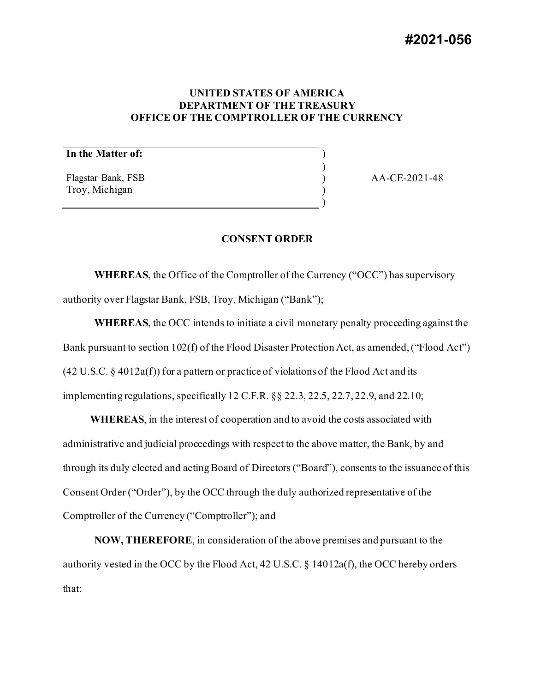# **#2021-056**

# **UNITED STATES OF AMERICA DEPARTMENT OF THE TREASURY OFFICE OF THE COMPTROLLER OF THE CURRENCY**

) ) ) ) )

# **In the Matter of:**

Flagstar Bank, FSB Troy, Michigan

AA-CE-2021-48

## **CONSENT ORDER**

**WHEREAS**, the Office of the Comptroller of the Currency ("OCC") has supervisory authority over Flagstar Bank, FSB, Troy, Michigan ("Bank");

**WHEREAS**, the OCC intends to initiate a civil monetary penalty proceeding against the Bank pursuant to section 102(f) of the Flood Disaster Protection Act, as amended, ("Flood Act")  $(42 U.S.C. § 4012a(f))$  for a pattern or practice of violations of the Flood Act and its implementing regulations, specifically 12 C.F.R. §§ 22.3, 22.5, 22.7, 22.9, and 22.10;

**WHEREAS**, in the interest of cooperation and to avoid the costs associated with administrative and judicial proceedings with respect to the above matter, the Bank, by and through its duly elected and acting Board of Directors ("Board"), consents to the issuance of this Consent Order ("Order"), by the OCC through the duly authorized representative of the Comptroller of the Currency ("Comptroller"); and

**NOW, THEREFORE**, in consideration of the above premises and pursuant to the authority vested in the OCC by the Flood Act, 42 U.S.C. § 14012a(f), the OCC hereby orders that: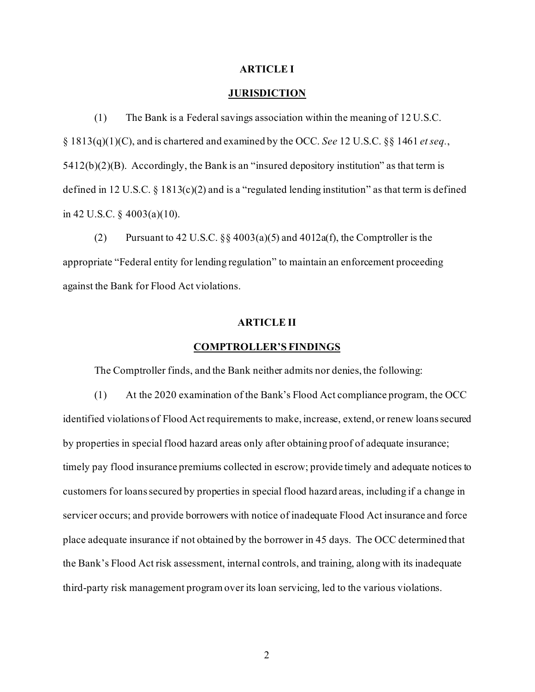#### **ARTICLE I**

# **JURISDICTION**

(1) The Bank is a Federal savings association within the meaning of 12 U.S.C. § 1813(q)(1)(C), and is chartered and examined by the OCC. *See* 12 U.S.C. §§ 1461 *et seq.*,  $5412(b)(2)(B)$ . Accordingly, the Bank is an "insured depository institution" as that term is defined in 12 U.S.C. § 1813(c)(2) and is a "regulated lending institution" as that term is defined in 42 U.S.C. § 4003(a)(10).

(2) Pursuant to 42 U.S.C.  $\S$  4003(a)(5) and 4012a(f), the Comptroller is the appropriate "Federal entity for lending regulation" to maintain an enforcement proceeding against the Bank for Flood Act violations.

# **ARTICLE II**

#### **COMPTROLLER'S FINDINGS**

The Comptroller finds, and the Bank neither admits nor denies, the following:

(1) At the 2020 examination of the Bank's Flood Act compliance program, the OCC identified violations of Flood Act requirements to make, increase, extend, or renew loans secured by properties in special flood hazard areas only after obtaining proof of adequate insurance; timely pay flood insurance premiums collected in escrow; provide timely and adequate notices to customers for loans secured by properties in special flood hazard areas, including if a change in servicer occurs; and provide borrowers with notice of inadequate Flood Act insurance and force place adequate insurance if not obtained by the borrower in 45 days. The OCC determined that the Bank's Flood Act risk assessment, internal controls, and training, along with its inadequate third-party risk management program over its loan servicing, led to the various violations.

2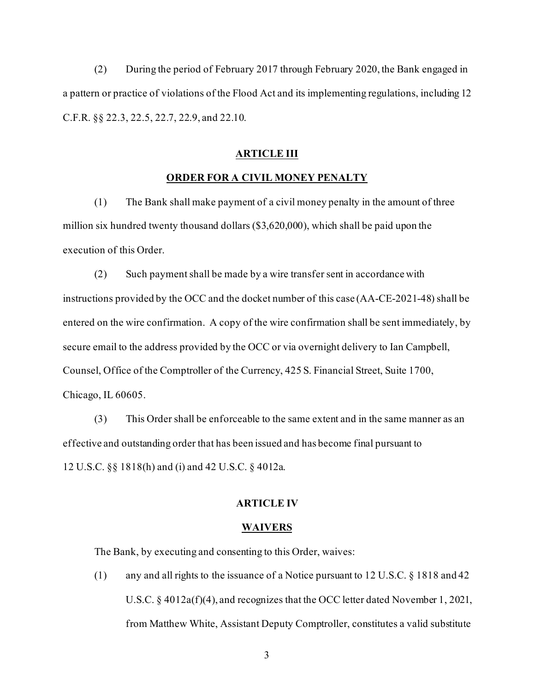(2) During the period of February 2017 through February 2020, the Bank engaged in a pattern or practice of violations of the Flood Act and its implementing regulations, including 12 C.F.R. §§ 22.3, 22.5, 22.7, 22.9, and 22.10.

## **ARTICLE III**

# **ORDER FOR A CIVIL MONEY PENALTY**

(1) The Bank shall make payment of a civil money penalty in the amount of three million six hundred twenty thousand dollars (\$3,620,000), which shall be paid upon the execution of this Order.

(2) Such payment shall be made by a wire transfer sent in accordance with instructions provided by the OCC and the docket number of this case (AA-CE-2021-48) shall be entered on the wire confirmation. A copy of the wire confirmation shall be sent immediately, by secure email to the address provided by the OCC or via overnight delivery to Ian Campbell, Counsel, Office of the Comptroller of the Currency, 425 S. Financial Street, Suite 1700, Chicago, IL 60605.

(3) This Order shall be enforceable to the same extent and in the same manner as an effective and outstanding order that has been issued and has become final pursuant to 12 U.S.C. §§ 1818(h) and (i) and 42 U.S.C. § 4012a.

# **ARTICLE IV**

#### **WAIVERS**

The Bank, by executing and consenting to this Order, waives:

(1) any and all rights to the issuance of a Notice pursuant to 12 U.S.C. § 1818 and 42 U.S.C. § 4012a(f)(4), and recognizes that the OCC letter dated November 1, 2021, from Matthew White, Assistant Deputy Comptroller, constitutes a valid substitute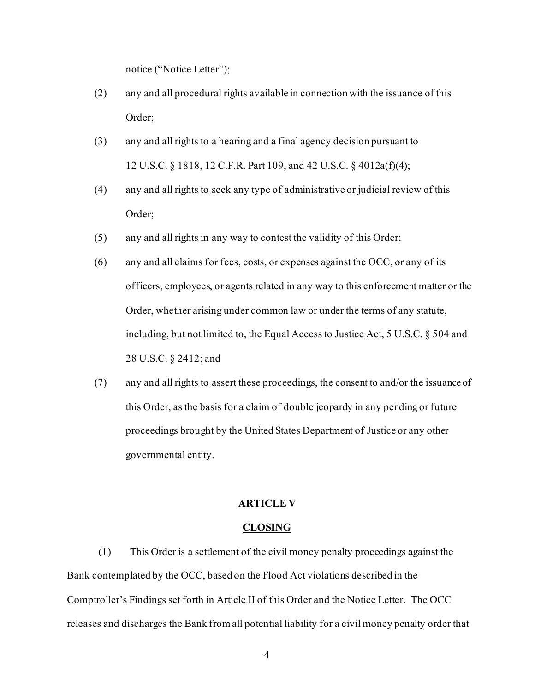notice ("Notice Letter");

- (2) any and all procedural rights available in connection with the issuance of this Order;
- (3) any and all rights to a hearing and a final agency decision pursuant to 12 U.S.C. § 1818, 12 C.F.R. Part 109, and 42 U.S.C. § 4012a(f)(4);
- (4) any and all rights to seek any type of administrative or judicial review of this Order;
- (5) any and all rights in any way to contest the validity of this Order;
- (6) any and all claims for fees, costs, or expenses against the OCC, or any of its officers, employees, or agents related in any way to this enforcement matter or the Order, whether arising under common law or under the terms of any statute, including, but not limited to, the Equal Access to Justice Act, 5 U.S.C. § 504 and 28 U.S.C. § 2412; and
- (7) any and all rights to assert these proceedings, the consent to and/or the issuance of this Order, as the basis for a claim of double jeopardy in any pending or future proceedings brought by the United States Department of Justice or any other governmental entity.

# **ARTICLE V**

#### **CLOSING**

(1) This Order is a settlement of the civil money penalty proceedings against the Bank contemplated by the OCC, based on the Flood Act violations described in the Comptroller's Findings set forth in Article II of this Order and the Notice Letter. The OCC releases and discharges the Bank from all potential liability for a civil money penalty order that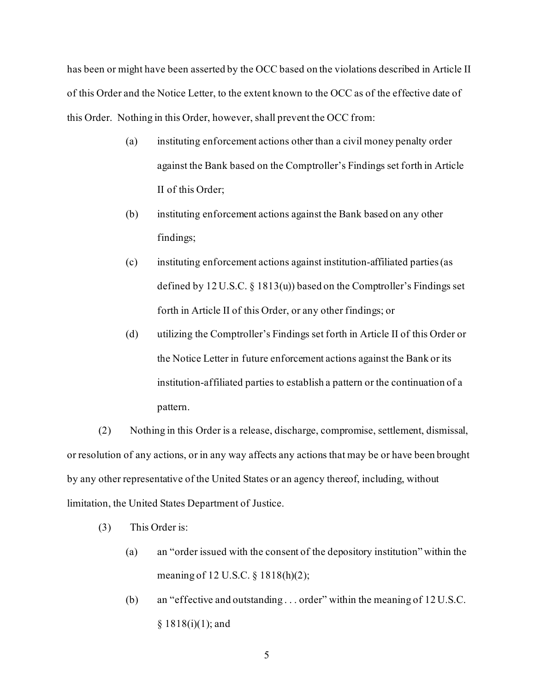has been or might have been asserted by the OCC based on the violations described in Article II of this Order and the Notice Letter, to the extent known to the OCC as of the effective date of this Order. Nothing in this Order, however, shall prevent the OCC from:

- (a) instituting enforcement actions other than a civil money penalty order against the Bank based on the Comptroller's Findings set forth in Article II of this Order;
- (b) instituting enforcement actions against the Bank based on any other findings;
- (c) instituting enforcement actions against institution-affiliated parties (as defined by 12 U.S.C. § 1813(u)) based on the Comptroller's Findings set forth in Article II of this Order, or any other findings; or
- (d) utilizing the Comptroller's Findings set forth in Article II of this Order or the Notice Letter in future enforcement actions against the Bank or its institution-affiliated parties to establish a pattern or the continuation of a pattern.

(2) Nothing in this Order is a release, discharge, compromise, settlement, dismissal, or resolution of any actions, or in any way affects any actions that may be or have been brought by any other representative of the United States or an agency thereof, including, without limitation, the United States Department of Justice.

- (3) This Order is:
	- (a) an "order issued with the consent of the depository institution" within the meaning of 12 U.S.C. § 1818(h)(2);
	- (b) an "effective and outstanding . . . order" within the meaning of 12 U.S.C.  $§ 1818(i)(1);$  and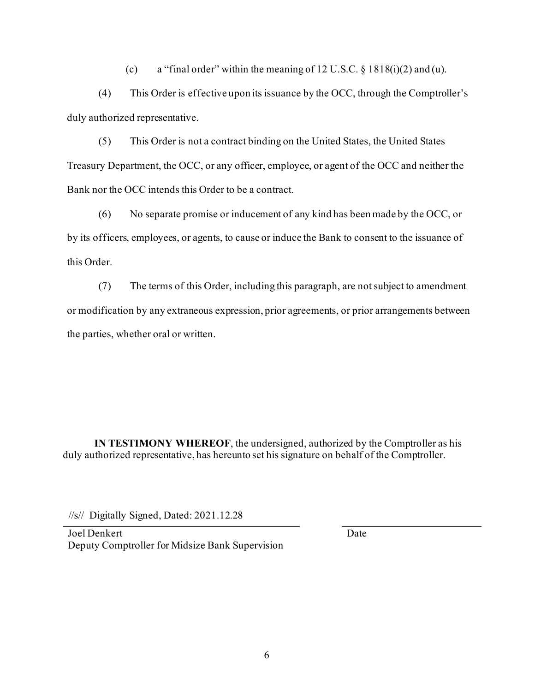(c) a "final order" within the meaning of 12 U.S.C.  $\S 1818(i)(2)$  and (u).

(4) This Order is effective upon its issuance by the OCC, through the Comptroller's duly authorized representative.

(5) This Order is not a contract binding on the United States, the United States Treasury Department, the OCC, or any officer, employee, or agent of the OCC and neither the Bank nor the OCC intends this Order to be a contract.

(6) No separate promise or inducement of any kind has been made by the OCC, or by its officers, employees, or agents, to cause or induce the Bank to consent to the issuance of this Order.

(7) The terms of this Order, including this paragraph, are not subject to amendment or modification by any extraneous expression, prior agreements, or prior arrangements between the parties, whether oral or written.

**IN TESTIMONY WHEREOF**, the undersigned, authorized by the Comptroller as his duly authorized representative, has hereunto set his signature on behalf of the Comptroller.

//s// Digitally Signed, Dated: 2021.12.28

Joel Denkert Deputy Comptroller for Midsize Bank Supervision Date